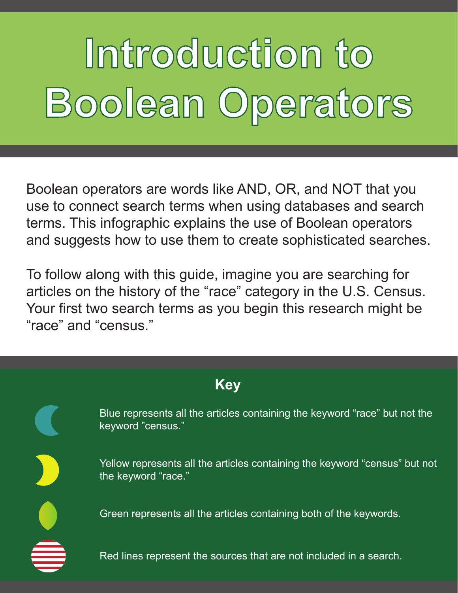# **Introduction to Boolean Operators**

Boolean operators are words like AND, OR, and NOT that you use to connect search terms when using databases and search terms. This infographic explains the use of Boolean operators and suggests how to use them to create sophisticated searches.

To follow along with this guide, imagine you are searching for articles on the history of the "race" category in the U.S. Census. Your first two search terms as you begin this research might be "race" and "census."

| <b>Key</b> |                                                                                                   |
|------------|---------------------------------------------------------------------------------------------------|
|            | Blue represents all the articles containing the keyword "race" but not the<br>keyword "census."   |
|            | Yellow represents all the articles containing the keyword "census" but not<br>the keyword "race." |
|            | Green represents all the articles containing both of the keywords.                                |
|            | Red lines represent the sources that are not included in a search.                                |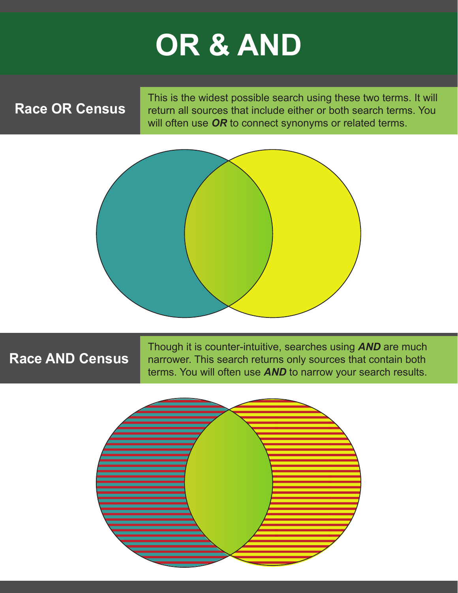### **OR & AND**

### **Race OR Census**

This is the widest possible search using these two terms. It will return all sources that include either or both search terms. You will often use *OR* to connect synonyms or related terms.



#### **Race AND Census**

Though it is counter-intuitive, searches using *AND* are much narrower. This search returns only sources that contain both terms. You will often use *AND* to narrow your search results.

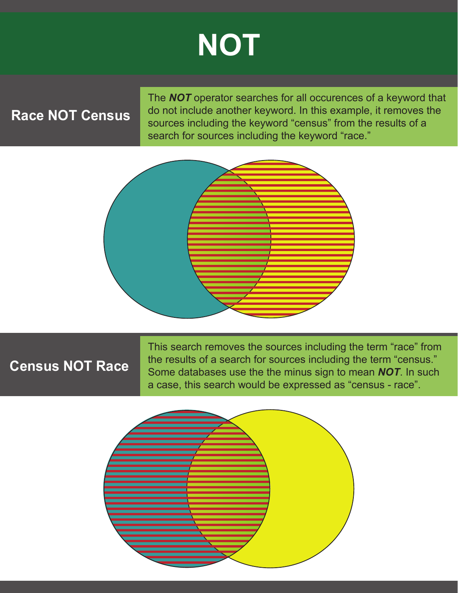### **NOT**

### **Race NOT Census**

The *NOT* operator searches for all occurences of a keyword that do not include another keyword. In this example, it removes the sources including the keyword "census" from the results of a search for sources including the keyword "race."



#### **Census NOT Race**

This search removes the sources including the term "race" from the results of a search for sources including the term "census." Some databases use the the minus sign to mean *NOT*. In such a case, this search would be expressed as "census - race".